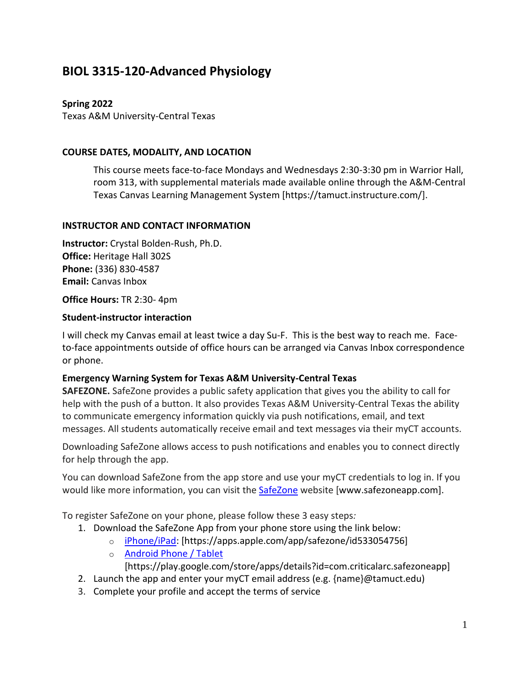# **BIOL 3315-120-Advanced Physiology**

# **Spring 2022**

Texas A&M University-Central Texas

### **COURSE DATES, MODALITY, AND LOCATION**

This course meets face-to-face Mondays and Wednesdays 2:30-3:30 pm in Warrior Hall, room 313, with supplemental materials made available online through the A&M-Central Texas Canvas Learning Management System [https://tamuct.instructure.com/].

### **INSTRUCTOR AND CONTACT INFORMATION**

**Instructor:** Crystal Bolden-Rush, Ph.D. **Office:** Heritage Hall 302S **Phone:** (336) 830-4587 **Email:** Canvas Inbox

#### **Office Hours:** TR 2:30- 4pm

### **Student-instructor interaction**

I will check my Canvas email at least twice a day Su-F. This is the best way to reach me. Faceto-face appointments outside of office hours can be arranged via Canvas Inbox correspondence or phone.

### **Emergency Warning System for Texas A&M University-Central Texas**

**SAFEZONE.** SafeZone provides a public safety application that gives you the ability to call for help with the push of a button. It also provides Texas A&M University-Central Texas the ability to communicate emergency information quickly via push notifications, email, and text messages. All students automatically receive email and text messages via their myCT accounts.

Downloading SafeZone allows access to push notifications and enables you to connect directly for help through the app.

You can download SafeZone from the app store and use your myCT credentials to log in. If you would like more information, you can visit the [SafeZone](http://www.safezoneapp.com/) website [www.safezoneapp.com].

To register SafeZone on your phone, please follow these 3 easy steps*:*

- 1. Download the SafeZone App from your phone store using the link below:
	- o [iPhone/iPad:](https://apps.apple.com/app/safezone/id533054756) [https://apps.apple.com/app/safezone/id533054756]
	- o [Android Phone / Tablet](https://play.google.com/store/apps/details?id=com.criticalarc.safezoneapp) [https://play.google.com/store/apps/details?id=com.criticalarc.safezoneapp]
- 2. Launch the app and enter your myCT email address (e.g. {name}@tamuct.edu)
- 3. Complete your profile and accept the terms of service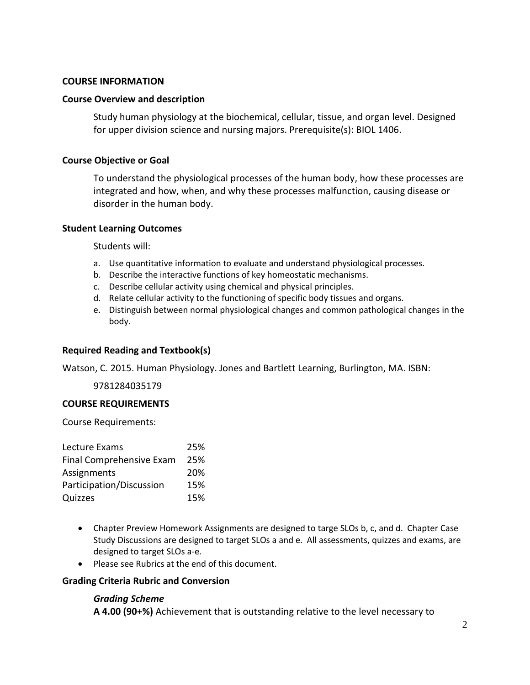#### **COURSE INFORMATION**

#### **Course Overview and description**

Study human physiology at the biochemical, cellular, tissue, and organ level. Designed for upper division science and nursing majors. Prerequisite(s): BIOL 1406.

#### **Course Objective or Goal**

To understand the physiological processes of the human body, how these processes are integrated and how, when, and why these processes malfunction, causing disease or disorder in the human body.

#### **Student Learning Outcomes**

Students will:

- a. Use quantitative information to evaluate and understand physiological processes.
- b. Describe the interactive functions of key homeostatic mechanisms.
- c. Describe cellular activity using chemical and physical principles.
- d. Relate cellular activity to the functioning of specific body tissues and organs.
- e. Distinguish between normal physiological changes and common pathological changes in the body.

### **Required Reading and Textbook(s)**

Watson, C. 2015. Human Physiology. Jones and Bartlett Learning, Burlington, MA. ISBN:

9781284035179

#### **COURSE REQUIREMENTS**

Course Requirements:

| Lecture Exams            | 25% |
|--------------------------|-----|
| Final Comprehensive Exam | 25% |
| Assignments              | 20% |
| Participation/Discussion | 15% |
| Quizzes                  | 15% |

- Chapter Preview Homework Assignments are designed to targe SLOs b, c, and d. Chapter Case Study Discussions are designed to target SLOs a and e. All assessments, quizzes and exams, are designed to target SLOs a-e.
- Please see Rubrics at the end of this document.

### **Grading Criteria Rubric and Conversion**

### *Grading Scheme*

**A 4.00 (90+%)** Achievement that is outstanding relative to the level necessary to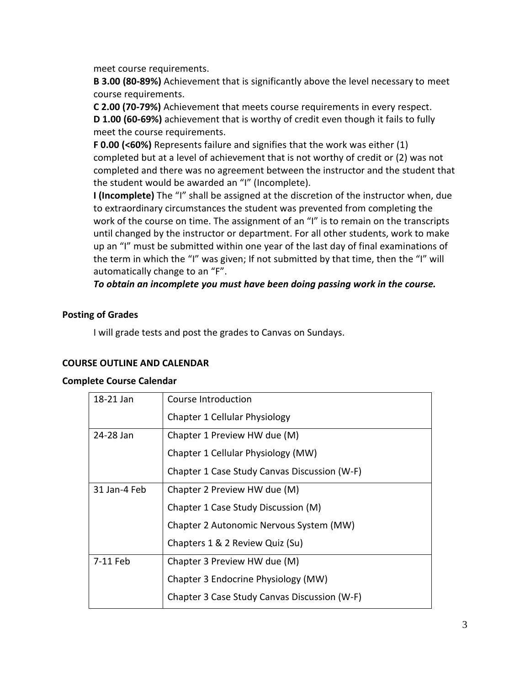meet course requirements.

**B 3.00 (80-89%)** Achievement that is significantly above the level necessary to meet course requirements.

**C 2.00 (70-79%)** Achievement that meets course requirements in every respect. **D 1.00 (60-69%)** achievement that is worthy of credit even though it fails to fully meet the course requirements.

**F 0.00 (<60%)** Represents failure and signifies that the work was either (1) completed but at a level of achievement that is not worthy of credit or (2) was not completed and there was no agreement between the instructor and the student that the student would be awarded an "I" (Incomplete).

**I (Incomplete)** The "I" shall be assigned at the discretion of the instructor when, due to extraordinary circumstances the student was prevented from completing the work of the course on time. The assignment of an "I" is to remain on the transcripts until changed by the instructor or department. For all other students, work to make up an "I" must be submitted within one year of the last day of final examinations of the term in which the "I" was given; If not submitted by that time, then the "I" will automatically change to an "F".

*To obtain an incomplete you must have been doing passing work in the course.*

### **Posting of Grades**

I will grade tests and post the grades to Canvas on Sundays.

### **COURSE OUTLINE AND CALENDAR**

### **Complete Course Calendar**

| 18-21 Jan    | Course Introduction                          |
|--------------|----------------------------------------------|
|              | Chapter 1 Cellular Physiology                |
| 24-28 Jan    | Chapter 1 Preview HW due (M)                 |
|              | Chapter 1 Cellular Physiology (MW)           |
|              | Chapter 1 Case Study Canvas Discussion (W-F) |
| 31 Jan-4 Feb | Chapter 2 Preview HW due (M)                 |
|              | Chapter 1 Case Study Discussion (M)          |
|              | Chapter 2 Autonomic Nervous System (MW)      |
|              | Chapters 1 & 2 Review Quiz (Su)              |
| 7-11 Feb     | Chapter 3 Preview HW due (M)                 |
|              | Chapter 3 Endocrine Physiology (MW)          |
|              | Chapter 3 Case Study Canvas Discussion (W-F) |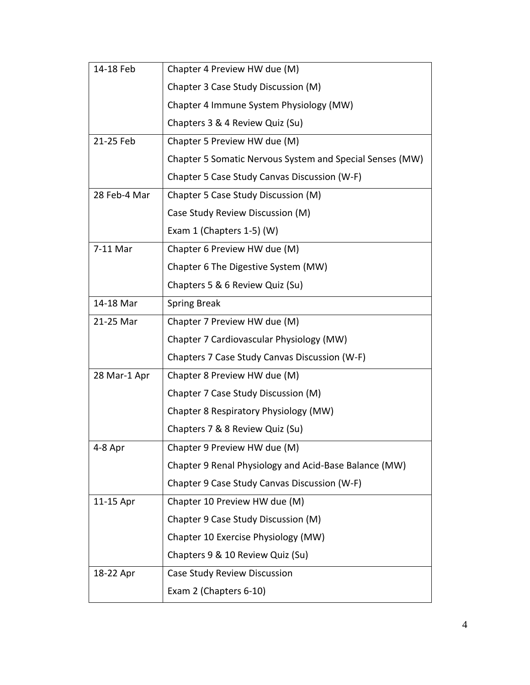| 14-18 Feb    | Chapter 4 Preview HW due (M)                             |
|--------------|----------------------------------------------------------|
|              | Chapter 3 Case Study Discussion (M)                      |
|              | Chapter 4 Immune System Physiology (MW)                  |
|              | Chapters 3 & 4 Review Quiz (Su)                          |
| 21-25 Feb    | Chapter 5 Preview HW due (M)                             |
|              | Chapter 5 Somatic Nervous System and Special Senses (MW) |
|              | Chapter 5 Case Study Canvas Discussion (W-F)             |
| 28 Feb-4 Mar | Chapter 5 Case Study Discussion (M)                      |
|              | Case Study Review Discussion (M)                         |
|              | Exam 1 (Chapters 1-5) (W)                                |
| 7-11 Mar     | Chapter 6 Preview HW due (M)                             |
|              | Chapter 6 The Digestive System (MW)                      |
|              | Chapters 5 & 6 Review Quiz (Su)                          |
| 14-18 Mar    | <b>Spring Break</b>                                      |
| 21-25 Mar    | Chapter 7 Preview HW due (M)                             |
|              | Chapter 7 Cardiovascular Physiology (MW)                 |
|              | Chapters 7 Case Study Canvas Discussion (W-F)            |
| 28 Mar-1 Apr | Chapter 8 Preview HW due (M)                             |
|              | Chapter 7 Case Study Discussion (M)                      |
|              | Chapter 8 Respiratory Physiology (MW)                    |
|              | Chapters 7 & 8 Review Quiz (Su)                          |
| 4-8 Apr      | Chapter 9 Preview HW due (M)                             |
|              | Chapter 9 Renal Physiology and Acid-Base Balance (MW)    |
|              | Chapter 9 Case Study Canvas Discussion (W-F)             |
| 11-15 Apr    | Chapter 10 Preview HW due (M)                            |
|              | Chapter 9 Case Study Discussion (M)                      |
|              | Chapter 10 Exercise Physiology (MW)                      |
|              | Chapters 9 & 10 Review Quiz (Su)                         |
| 18-22 Apr    | Case Study Review Discussion                             |
|              | Exam 2 (Chapters 6-10)                                   |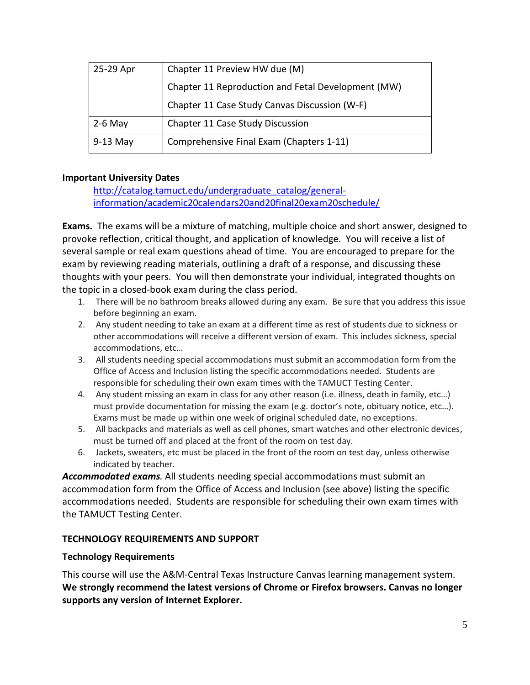| 25-29 Apr  | Chapter 11 Preview HW due (M)                      |
|------------|----------------------------------------------------|
|            | Chapter 11 Reproduction and Fetal Development (MW) |
|            | Chapter 11 Case Study Canvas Discussion (W-F)      |
| $2-6$ May  | Chapter 11 Case Study Discussion                   |
| $9-13$ May | Comprehensive Final Exam (Chapters 1-11)           |

### **Important University Dates**

[http://catalog.tamuct.edu/undergraduate\\_catalog/general](http://catalog.tamuct.edu/undergraduate_catalog/general-information/academic20calendars20and20final20exam20schedule/)[information/academic20calendars20and20final20exam20schedule/](http://catalog.tamuct.edu/undergraduate_catalog/general-information/academic20calendars20and20final20exam20schedule/)

**Exams.** The exams will be a mixture of matching, multiple choice and short answer, designed to provoke reflection, critical thought, and application of knowledge. You will receive a list of several sample or real exam questions ahead of time. You are encouraged to prepare for the exam by reviewing reading materials, outlining a draft of a response, and discussing these thoughts with your peers. You will then demonstrate your individual, integrated thoughts on the topic in a closed-book exam during the class period.

- 1. There will be no bathroom breaks allowed during any exam. Be sure that you address this issue before beginning an exam.
- 2. Any student needing to take an exam at a different time as rest of students due to sickness or other accommodations will receive a different version of exam. This includes sickness, special accommodations, etc…
- 3. All students needing special accommodations must submit an accommodation form from the Office of Access and Inclusion listing the specific accommodations needed. Students are responsible for scheduling their own exam times with the TAMUCT Testing Center.
- 4. Any student missing an exam in class for any other reason (i.e. illness, death in family, etc…) must provide documentation for missing the exam (e.g. doctor's note, obituary notice, etc…). Exams must be made up within one week of original scheduled date, no exceptions.
- 5. All backpacks and materials as well as cell phones, smart watches and other electronic devices, must be turned off and placed at the front of the room on test day.
- 6. Jackets, sweaters, etc must be placed in the front of the room on test day, unless otherwise indicated by teacher.

*Accommodated exams.* All students needing special accommodations must submit an accommodation form from the Office of Access and Inclusion (see above) listing the specific accommodations needed. Students are responsible for scheduling their own exam times with the TAMUCT Testing Center.

# **TECHNOLOGY REQUIREMENTS AND SUPPORT**

### **Technology Requirements**

This course will use the A&M-Central Texas Instructure Canvas learning management system. **We strongly recommend the latest versions of Chrome or Firefox browsers. Canvas no longer supports any version of Internet Explorer.**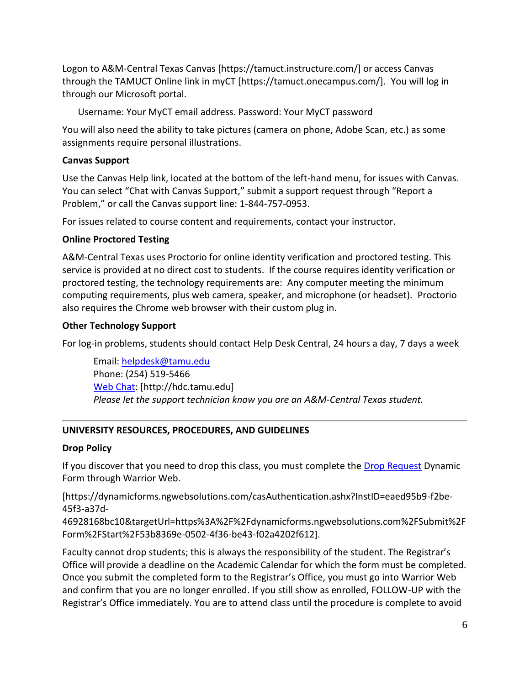Logon to A&M-Central Texas Canvas [https://tamuct.instructure.com/] or access Canvas through the TAMUCT Online link in myCT [https://tamuct.onecampus.com/]. You will log in through our Microsoft portal.

Username: Your MyCT email address. Password: Your MyCT password

You will also need the ability to take pictures (camera on phone, Adobe Scan, etc.) as some assignments require personal illustrations.

# **Canvas Support**

Use the Canvas Help link, located at the bottom of the left-hand menu, for issues with Canvas. You can select "Chat with Canvas Support," submit a support request through "Report a Problem," or call the Canvas support line: 1-844-757-0953.

For issues related to course content and requirements, contact your instructor.

# **Online Proctored Testing**

A&M-Central Texas uses Proctorio for online identity verification and proctored testing. This service is provided at no direct cost to students. If the course requires identity verification or proctored testing, the technology requirements are: Any computer meeting the minimum computing requirements, plus web camera, speaker, and microphone (or headset). Proctorio also requires the Chrome web browser with their custom plug in.

# **Other Technology Support**

For log-in problems, students should contact Help Desk Central, 24 hours a day, 7 days a week

Email: [helpdesk@tamu.edu](mailto:helpdesk@tamu.edu) Phone: (254) 519-5466 [Web Chat:](http://hdc.tamu.edu/) [http://hdc.tamu.edu] *Please let the support technician know you are an A&M-Central Texas student.*

# **UNIVERSITY RESOURCES, PROCEDURES, AND GUIDELINES**

# **Drop Policy**

If you discover that you need to drop this class, you must complete the [Drop Request](https://dynamicforms.ngwebsolutions.com/casAuthentication.ashx?InstID=eaed95b9-f2be-45f3-a37d-46928168bc10&targetUrl=https%3A%2F%2Fdynamicforms.ngwebsolutions.com%2FSubmit%2FForm%2FStart%2F53b8369e-0502-4f36-be43-f02a4202f612) Dynamic Form through Warrior Web.

[https://dynamicforms.ngwebsolutions.com/casAuthentication.ashx?InstID=eaed95b9-f2be-45f3-a37d-

46928168bc10&targetUrl=https%3A%2F%2Fdynamicforms.ngwebsolutions.com%2FSubmit%2F Form%2FStart%2F53b8369e-0502-4f36-be43-f02a4202f612].

Faculty cannot drop students; this is always the responsibility of the student. The Registrar's Office will provide a deadline on the Academic Calendar for which the form must be completed. Once you submit the completed form to the Registrar's Office, you must go into Warrior Web and confirm that you are no longer enrolled. If you still show as enrolled, FOLLOW-UP with the Registrar's Office immediately. You are to attend class until the procedure is complete to avoid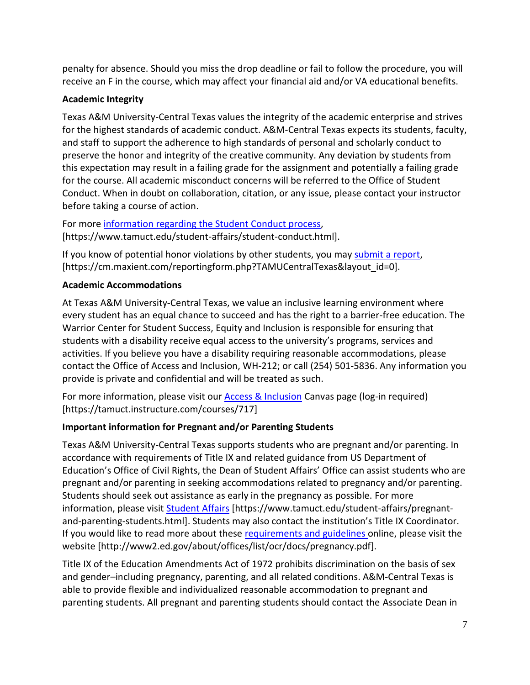penalty for absence. Should you miss the drop deadline or fail to follow the procedure, you will receive an F in the course, which may affect your financial aid and/or VA educational benefits.

# **Academic Integrity**

Texas A&M University-Central Texas values the integrity of the academic enterprise and strives for the highest standards of academic conduct. A&M-Central Texas expects its students, faculty, and staff to support the adherence to high standards of personal and scholarly conduct to preserve the honor and integrity of the creative community. Any deviation by students from this expectation may result in a failing grade for the assignment and potentially a failing grade for the course. All academic misconduct concerns will be referred to the Office of Student Conduct. When in doubt on collaboration, citation, or any issue, please contact your instructor before taking a course of action.

For more [information](https://nam04.safelinks.protection.outlook.com/?url=https%3A%2F%2Fwww.tamuct.edu%2Fstudent-affairs%2Fstudent-conduct.html&data=04%7C01%7Clisa.bunkowski%40tamuct.edu%7Ccfb6e486f24745f53e1a08d910055cb2%7C9eed4e3000f744849ff193ad8005acec%7C0%7C0%7C637558437485252160%7CUnknown%7CTWFpbGZsb3d8eyJWIjoiMC4wLjAwMDAiLCJQIjoiV2luMzIiLCJBTiI6Ik1haWwiLCJXVCI6Mn0%3D%7C1000&sdata=yjftDEVHvLX%2FhM%2FcFU0B99krV1RgEWR%2BJ%2BhvtoR6TYk%3D&reserved=0) regarding the Student Conduct process, [https://www.tamuct.edu/student-affairs/student-conduct.html].

If you know of potential honor violations by other students, you may [submit](https://nam04.safelinks.protection.outlook.com/?url=https%3A%2F%2Fcm.maxient.com%2Freportingform.php%3FTAMUCentralTexas%26layout_id%3D0&data=04%7C01%7Clisa.bunkowski%40tamuct.edu%7Ccfb6e486f24745f53e1a08d910055cb2%7C9eed4e3000f744849ff193ad8005acec%7C0%7C0%7C637558437485262157%7CUnknown%7CTWFpbGZsb3d8eyJWIjoiMC4wLjAwMDAiLCJQIjoiV2luMzIiLCJBTiI6Ik1haWwiLCJXVCI6Mn0%3D%7C1000&sdata=CXGkOa6uPDPX1IMZ87z3aZDq2n91xfHKu4MMS43Ejjk%3D&reserved=0) a report, [https://cm.maxient.com/reportingform.php?TAMUCentralTexas&layout\_id=0].

# **Academic Accommodations**

At Texas A&M University-Central Texas, we value an inclusive learning environment where every student has an equal chance to succeed and has the right to a barrier-free education. The Warrior Center for Student Success, Equity and Inclusion is responsible for ensuring that students with a disability receive equal access to the university's programs, services and activities. If you believe you have a disability requiring reasonable accommodations, please contact the Office of Access and Inclusion, WH-212; or call (254) 501-5836. Any information you provide is private and confidential and will be treated as such.

For more information, please visit our **Access & Inclusion Canvas page (log-in required)** [https://tamuct.instructure.com/courses/717]

# **Important information for Pregnant and/or Parenting Students**

Texas A&M University-Central Texas supports students who are pregnant and/or parenting. In accordance with requirements of Title IX and related guidance from US Department of Education's Office of Civil Rights, the Dean of Student Affairs' Office can assist students who are pregnant and/or parenting in seeking accommodations related to pregnancy and/or parenting. Students should seek out assistance as early in the pregnancy as possible. For more information, please visit [Student Affairs](https://www.tamuct.edu/student-affairs/pregnant-and-parenting-students.html) [https://www.tamuct.edu/student-affairs/pregnantand-parenting-students.html]. Students may also contact the institution's Title IX Coordinator. If you would like to read more about these [requirements and guidelines](http://www2.ed.gov/about/offices/list/ocr/docs/pregnancy.pdf) online, please visit the website [http://www2.ed.gov/about/offices/list/ocr/docs/pregnancy.pdf].

Title IX of the Education Amendments Act of 1972 prohibits discrimination on the basis of sex and gender–including pregnancy, parenting, and all related conditions. A&M-Central Texas is able to provide flexible and individualized reasonable accommodation to pregnant and parenting students. All pregnant and parenting students should contact the Associate Dean in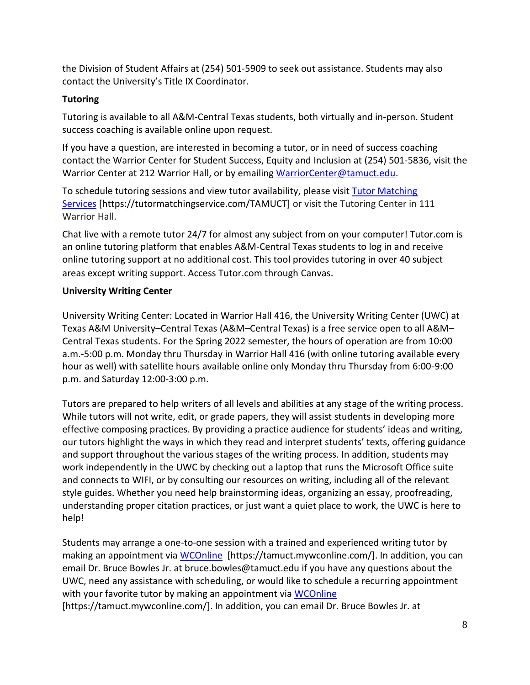the Division of Student Affairs at (254) 501-5909 to seek out assistance. Students may also contact the University's Title IX Coordinator.

# **Tutoring**

Tutoring is available to all A&M-Central Texas students, both virtually and in-person. Student success coaching is available online upon request.

If you have a question, are interested in becoming a tutor, or in need of success coaching contact the Warrior Center for Student Success, Equity and Inclusion at (254) 501-5836, visit the Warrior Center at 212 Warrior Hall, or by emailing [WarriorCenter@tamuct.edu.](mailto:WarriorCenter@tamuct.edu)

To schedule tutoring sessions and view tutor availability, please visit Tutor [Matching](https://tutormatchingservice.com/TAMUCT) [Services](https://tutormatchingservice.com/TAMUCT) [https://tutormatchingservice.com/TAMUCT] or visit the Tutoring Center in 111 Warrior Hall.

Chat live with a remote tutor 24/7 for almost any subject from on your computer! Tutor.com is an online tutoring platform that enables A&M-Central Texas students to log in and receive online tutoring support at no additional cost. This tool provides tutoring in over 40 subject areas except writing support. Access Tutor.com through Canvas.

# **University Writing Center**

University Writing Center: Located in Warrior Hall 416, the University Writing Center (UWC) at Texas A&M University–Central Texas (A&M–Central Texas) is a free service open to all A&M– Central Texas students. For the Spring 2022 semester, the hours of operation are from 10:00 a.m.-5:00 p.m. Monday thru Thursday in Warrior Hall 416 (with online tutoring available every hour as well) with satellite hours available online only Monday thru Thursday from 6:00-9:00 p.m. and Saturday 12:00-3:00 p.m.

Tutors are prepared to help writers of all levels and abilities at any stage of the writing process. While tutors will not write, edit, or grade papers, they will assist students in developing more effective composing practices. By providing a practice audience for students' ideas and writing, our tutors highlight the ways in which they read and interpret students' texts, offering guidance and support throughout the various stages of the writing process. In addition, students may work independently in the UWC by checking out a laptop that runs the Microsoft Office suite and connects to WIFI, or by consulting our resources on writing, including all of the relevant style guides. Whether you need help brainstorming ideas, organizing an essay, proofreading, understanding proper citation practices, or just want a quiet place to work, the UWC is here to help!

Students may arrange a one-to-one session with a trained and experienced writing tutor by making an appointment via [WCOnline](https://tamuct.mywconline.com/) [https://tamuct.mywconline.com/]. In addition, you can email Dr. Bruce Bowles Jr. at bruce.bowles@tamuct.edu if you have any questions about the UWC, need any assistance with scheduling, or would like to schedule a recurring appointment with your favorite tutor by making an appointment via [WCOnline](https://tamuct.mywconline.com/) [https://tamuct.mywconline.com/]. In addition, you can email Dr. Bruce Bowles Jr. at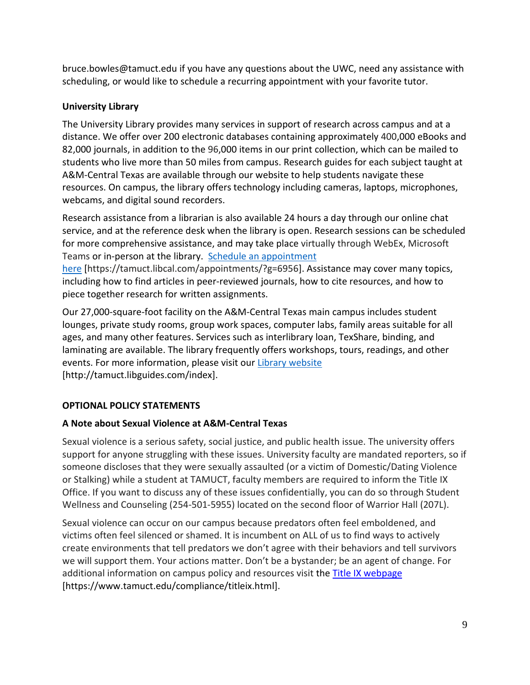bruce.bowles@tamuct.edu if you have any questions about the UWC, need any assistance with scheduling, or would like to schedule a recurring appointment with your favorite tutor.

# **University Library**

The University Library provides many services in support of research across campus and at a distance. We offer over 200 electronic databases containing approximately 400,000 eBooks and 82,000 journals, in addition to the 96,000 items in our print collection, which can be mailed to students who live more than 50 miles from campus. Research guides for each subject taught at A&M-Central Texas are available through our website to help students navigate these resources. On campus, the library offers technology including cameras, laptops, microphones, webcams, and digital sound recorders.

Research assistance from a librarian is also available 24 hours a day through our online chat service, and at the reference desk when the library is open. Research sessions can be scheduled for more comprehensive assistance, and may take place virtually through WebEx, Microsoft Teams or in-person at the library. Schedule an [appointment](https://nam04.safelinks.protection.outlook.com/?url=https%3A%2F%2Ftamuct.libcal.com%2Fappointments%2F%3Fg%3D6956&data=04%7C01%7Clisa.bunkowski%40tamuct.edu%7Cde2c07d9f5804f09518008d9ab7ba6ff%7C9eed4e3000f744849ff193ad8005acec%7C0%7C0%7C637729369835011558%7CUnknown%7CTWFpbGZsb3d8eyJWIjoiMC4wLjAwMDAiLCJQIjoiV2luMzIiLCJBTiI6Ik1haWwiLCJXVCI6Mn0%3D%7C3000&sdata=KhtjgRSAw9aq%2FoBsB6wyu8b7PSuGN5EGPypzr3Ty2No%3D&reserved=0)

[here](https://nam04.safelinks.protection.outlook.com/?url=https%3A%2F%2Ftamuct.libcal.com%2Fappointments%2F%3Fg%3D6956&data=04%7C01%7Clisa.bunkowski%40tamuct.edu%7Cde2c07d9f5804f09518008d9ab7ba6ff%7C9eed4e3000f744849ff193ad8005acec%7C0%7C0%7C637729369835011558%7CUnknown%7CTWFpbGZsb3d8eyJWIjoiMC4wLjAwMDAiLCJQIjoiV2luMzIiLCJBTiI6Ik1haWwiLCJXVCI6Mn0%3D%7C3000&sdata=KhtjgRSAw9aq%2FoBsB6wyu8b7PSuGN5EGPypzr3Ty2No%3D&reserved=0) [https://tamuct.libcal.com/appointments/?g=6956]. Assistance may cover many topics, including how to find articles in peer-reviewed journals, how to cite resources, and how to piece together research for written assignments.

Our 27,000-square-foot facility on the A&M-Central Texas main campus includes student lounges, private study rooms, group work spaces, computer labs, family areas suitable for all ages, and many other features. Services such as interlibrary loan, TexShare, binding, and laminating are available. The library frequently offers workshops, tours, readings, and other events. For more information, please visit our Library [website](https://nam04.safelinks.protection.outlook.com/?url=https%3A%2F%2Ftamuct.libguides.com%2Findex&data=04%7C01%7Clisa.bunkowski%40tamuct.edu%7C7d8489e8839a4915335f08d916f067f2%7C9eed4e3000f744849ff193ad8005acec%7C0%7C0%7C637566044056484222%7CUnknown%7CTWFpbGZsb3d8eyJWIjoiMC4wLjAwMDAiLCJQIjoiV2luMzIiLCJBTiI6Ik1haWwiLCJXVCI6Mn0%3D%7C1000&sdata=2R755V6rcIyedGrd4Os5rkgn1PvhHKU3kUV1vBKiHFo%3D&reserved=0) [http://tamuct.libguides.com/index].

# **OPTIONAL POLICY STATEMENTS**

# **A Note about Sexual Violence at A&M-Central Texas**

Sexual violence is a serious safety, social justice, and public health issue. The university offers support for anyone struggling with these issues. University faculty are mandated reporters, so if someone discloses that they were sexually assaulted (or a victim of Domestic/Dating Violence or Stalking) while a student at TAMUCT, faculty members are required to inform the Title IX Office. If you want to discuss any of these issues confidentially, you can do so through Student Wellness and Counseling (254-501-5955) located on the second floor of Warrior Hall (207L).

Sexual violence can occur on our campus because predators often feel emboldened, and victims often feel silenced or shamed. It is incumbent on ALL of us to find ways to actively create environments that tell predators we don't agree with their behaviors and tell survivors we will support them. Your actions matter. Don't be a bystander; be an agent of change. For additional information on campus policy and resources visit the **Title IX webpage** [\[https://www.tamuct.edu/compliance/titleix.html\]](https://www.tamuct.edu/compliance/titleix.html).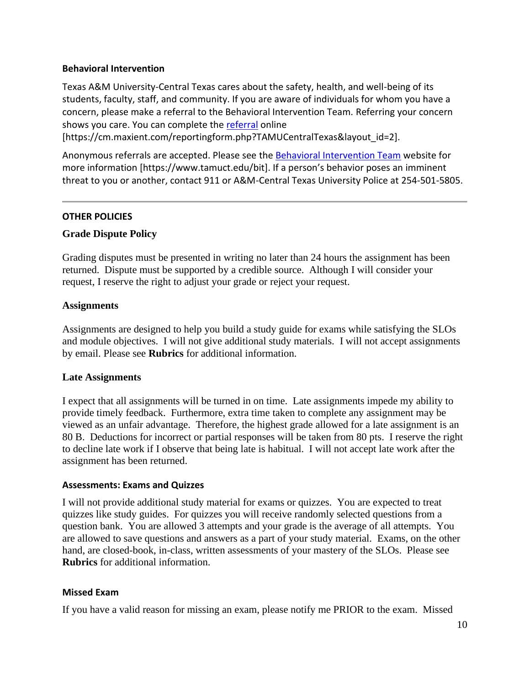#### **Behavioral Intervention**

Texas A&M University-Central Texas cares about the safety, health, and well-being of its students, faculty, staff, and community. If you are aware of individuals for whom you have a concern, please make a referral to the Behavioral Intervention Team. Referring your concern shows you care. You can complete the [referral](https://cm.maxient.com/reportingform.php?TAMUCentralTexas&layout_id=2) online

[https://cm.maxient.com/reportingform.php?TAMUCentralTexas&layout\_id=2].

Anonymous referrals are accepted. Please see the [Behavioral Intervention Team](https://www.tamuct.edu/bit) website for more information [https://www.tamuct.edu/bit]. If a person's behavior poses an imminent threat to you or another, contact 911 or A&M-Central Texas University Police at 254-501-5805.

### **OTHER POLICIES**

### **Grade Dispute Policy**

Grading disputes must be presented in writing no later than 24 hours the assignment has been returned. Dispute must be supported by a credible source. Although I will consider your request, I reserve the right to adjust your grade or reject your request.

### **Assignments**

Assignments are designed to help you build a study guide for exams while satisfying the SLOs and module objectives. I will not give additional study materials. I will not accept assignments by email. Please see **Rubrics** for additional information.

### **Late Assignments**

I expect that all assignments will be turned in on time. Late assignments impede my ability to provide timely feedback. Furthermore, extra time taken to complete any assignment may be viewed as an unfair advantage. Therefore, the highest grade allowed for a late assignment is an 80 B. Deductions for incorrect or partial responses will be taken from 80 pts. I reserve the right to decline late work if I observe that being late is habitual. I will not accept late work after the assignment has been returned.

### **Assessments: Exams and Quizzes**

I will not provide additional study material for exams or quizzes. You are expected to treat quizzes like study guides. For quizzes you will receive randomly selected questions from a question bank. You are allowed 3 attempts and your grade is the average of all attempts. You are allowed to save questions and answers as a part of your study material. Exams, on the other hand, are closed-book, in-class, written assessments of your mastery of the SLOs. Please see **Rubrics** for additional information.

### **Missed Exam**

If you have a valid reason for missing an exam, please notify me PRIOR to the exam. Missed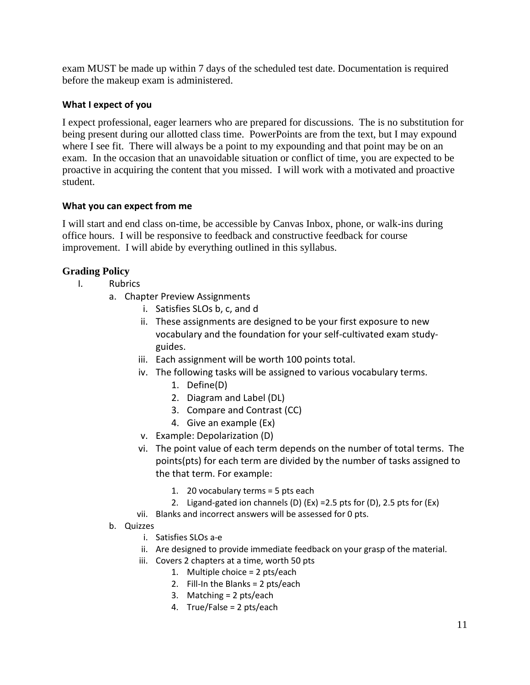exam MUST be made up within 7 days of the scheduled test date. Documentation is required before the makeup exam is administered.

### **What I expect of you**

I expect professional, eager learners who are prepared for discussions. The is no substitution for being present during our allotted class time. PowerPoints are from the text, but I may expound where I see fit. There will always be a point to my expounding and that point may be on an exam. In the occasion that an unavoidable situation or conflict of time, you are expected to be proactive in acquiring the content that you missed. I will work with a motivated and proactive student.

### **What you can expect from me**

I will start and end class on-time, be accessible by Canvas Inbox, phone, or walk-ins during office hours. I will be responsive to feedback and constructive feedback for course improvement. I will abide by everything outlined in this syllabus.

# **Grading Policy**

- I. Rubrics
	- a. Chapter Preview Assignments
		- i. Satisfies SLOs b, c, and d
		- ii. These assignments are designed to be your first exposure to new vocabulary and the foundation for your self-cultivated exam studyguides.
		- iii. Each assignment will be worth 100 points total.
		- iv. The following tasks will be assigned to various vocabulary terms.
			- 1. Define(D)
			- 2. Diagram and Label (DL)
			- 3. Compare and Contrast (CC)
			- 4. Give an example (Ex)
		- v. Example: Depolarization (D)
		- vi. The point value of each term depends on the number of total terms. The points(pts) for each term are divided by the number of tasks assigned to the that term. For example:
			- 1. 20 vocabulary terms = 5 pts each
			- 2. Ligand-gated ion channels (D) (Ex) =2.5 pts for (D), 2.5 pts for (Ex)
		- vii. Blanks and incorrect answers will be assessed for 0 pts.
	- b. Quizzes
		- i. Satisfies SLOs a-e
		- ii. Are designed to provide immediate feedback on your grasp of the material.
		- iii. Covers 2 chapters at a time, worth 50 pts
			- 1. Multiple choice = 2 pts/each
			- 2. Fill-In the Blanks = 2 pts/each
			- 3. Matching = 2 pts/each
			- 4. True/False = 2 pts/each